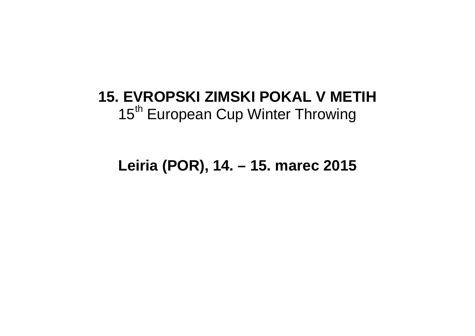# **15. EVROPSKI ZIMSKI POKAL V METIH**15<sup>th</sup> European Cup Winter Throwing

## **Leiria (POR), 14. – 15. marec 2015**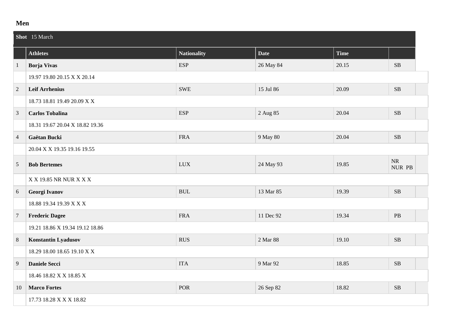### **Men**

|                | Shot 15 March                   |                                  |             |             |                    |  |  |
|----------------|---------------------------------|----------------------------------|-------------|-------------|--------------------|--|--|
|                | <b>Athletes</b>                 | <b>Nationality</b>               | <b>Date</b> | <b>Time</b> |                    |  |  |
| $\mathbf{1}$   | <b>Borja Vivas</b>              | <b>ESP</b>                       | 26 May 84   | 20.15       | SB                 |  |  |
|                | 19.97 19.80 20.15 X X 20.14     |                                  |             |             |                    |  |  |
| $\overline{2}$ | <b>Leif Arrhenius</b>           | <b>SWE</b>                       | 15 Jul 86   | 20.09       | SB                 |  |  |
|                | 18.73 18.81 19.49 20.09 X X     |                                  |             |             |                    |  |  |
| 3              | <b>Carlos Tobalina</b>          | <b>ESP</b>                       | 2 Aug 85    | 20.04       | $\rm SB$           |  |  |
|                | 18.31 19.67 20.04 X 18.82 19.36 |                                  |             |             |                    |  |  |
| $\overline{4}$ | Gaëtan Bucki                    | <b>FRA</b>                       | 9 May 80    | 20.04       | ${\bf SB}$         |  |  |
|                | 20.04 X X 19.35 19.16 19.55     |                                  |             |             |                    |  |  |
| $\mathfrak{S}$ | <b>Bob Bertemes</b>             | <b>LUX</b>                       | 24 May 93   | 19.85       | $\rm NR$<br>NUR PB |  |  |
|                | X X 19.85 NR NUR X X X          |                                  |             |             |                    |  |  |
| 6              | <b>Georgi Ivanov</b>            | $\mathbf{B}\mathbf{U}\mathbf{L}$ | 13 Mar 85   | 19.39       | $\rm SB$           |  |  |
|                | 18.88 19.34 19.39 X X X         |                                  |             |             |                    |  |  |
| $\overline{7}$ | <b>Frederic Dagee</b>           | <b>FRA</b>                       | 11 Dec 92   | 19.34       | PB                 |  |  |
|                | 19.21 18.86 X 19.34 19.12 18.86 |                                  |             |             |                    |  |  |
| 8              | Konstantin Lyadusov             | <b>RUS</b>                       | 2 Mar 88    | 19.10       | $\rm SB$           |  |  |
|                | 18.29 18.00 18.65 19.10 X X     |                                  |             |             |                    |  |  |
| 9              | <b>Daniele Secci</b>            | <b>ITA</b>                       | 9 Mar 92    | 18.85       | ${\bf SB}$         |  |  |
|                | 18.46 18.82 X X 18.85 X         |                                  |             |             |                    |  |  |
| 10             | <b>Marco Fortes</b>             | <b>POR</b>                       | 26 Sep 82   | 18.82       | SB                 |  |  |
|                | 17.73 18.28 X X X 18.82         |                                  |             |             |                    |  |  |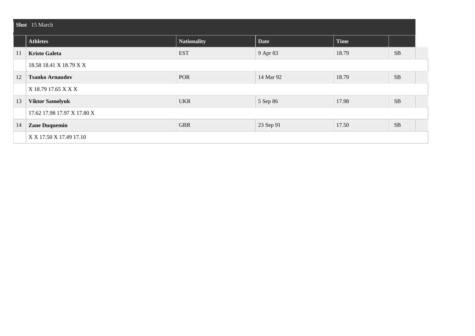|    | Shot 15 March               |                    |             |             |           |  |  |  |
|----|-----------------------------|--------------------|-------------|-------------|-----------|--|--|--|
|    | <b>Athletes</b>             | <b>Nationality</b> | <b>Date</b> | <b>Time</b> |           |  |  |  |
| 11 | <b>Kristo Galeta</b>        | <b>EST</b>         | 9 Apr 83    | 18.79       | <b>SB</b> |  |  |  |
|    | 18.58 18.41 X 18.79 X X     |                    |             |             |           |  |  |  |
| 12 | <b>Tsanko Arnaudov</b>      | POR                | 14 Mar 92   | 18.79       | <b>SB</b> |  |  |  |
|    | X 18.79 17.65 X X X         |                    |             |             |           |  |  |  |
| 13 | <b>Viktor Samolyuk</b>      | <b>UKR</b>         | 5 Sep 86    | 17.98       | <b>SB</b> |  |  |  |
|    | 17.62 17.98 17.97 X 17.80 X |                    |             |             |           |  |  |  |
| 14 | <b>Zane Duquemin</b>        | <b>GBR</b>         | 23 Sep 91   | 17.50       | SB        |  |  |  |
|    | X X 17.50 X 17.49 17.10     |                    |             |             |           |  |  |  |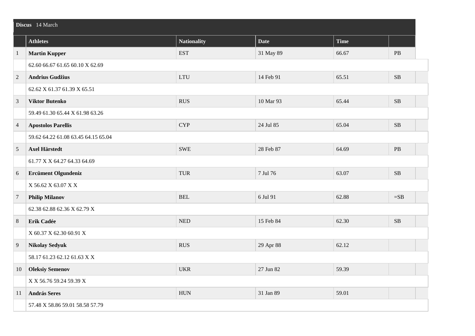|                | Discus 14 March                     |                    |             |             |           |  |  |  |
|----------------|-------------------------------------|--------------------|-------------|-------------|-----------|--|--|--|
|                | <b>Athletes</b>                     | <b>Nationality</b> | <b>Date</b> | <b>Time</b> |           |  |  |  |
| $\mathbf{1}$   | <b>Martin Kupper</b>                | <b>EST</b>         | 31 May 89   | 66.67       | PB        |  |  |  |
|                | 62.60 66.67 61.65 60.10 X 62.69     |                    |             |             |           |  |  |  |
| $\overline{2}$ | <b>Andrius Gudžius</b>              | <b>LTU</b>         | 14 Feb 91   | 65.51       | <b>SB</b> |  |  |  |
|                | 62.62 X 61.37 61.39 X 65.51         |                    |             |             |           |  |  |  |
| $\mathfrak{Z}$ | <b>Viktor Butenko</b>               | <b>RUS</b>         | 10 Mar 93   | 65.44       | $\rm SB$  |  |  |  |
|                | 59.49 61.30 65.44 X 61.98 63.26     |                    |             |             |           |  |  |  |
| $\overline{4}$ | <b>Apostolos Parellis</b>           | <b>CYP</b>         | 24 Jul 85   | 65.04       | $\rm SB$  |  |  |  |
|                | 59.62 64.22 61.08 63.45 64.15 65.04 |                    |             |             |           |  |  |  |
| 5              | <b>Axel Härstedt</b>                | <b>SWE</b>         | 28 Feb 87   | 64.69       | $\rm{PB}$ |  |  |  |
|                | 61.77 X X 64.27 64.33 64.69         |                    |             |             |           |  |  |  |
| $6\,$          | <b>Ercüment Olgundeniz</b>          | <b>TUR</b>         | 7 Jul 76    | 63.07       | SB        |  |  |  |
|                | X 56.62 X 63.07 X X                 |                    |             |             |           |  |  |  |
| $\overline{7}$ | <b>Philip Milanov</b>               | <b>BEL</b>         | 6 Jul 91    | 62.88       | $=$ SB    |  |  |  |
|                | 62.38 62.88 62.36 X 62.79 X         |                    |             |             |           |  |  |  |
| $8\phantom{1}$ | Erik Cadée                          | <b>NED</b>         | 15 Feb 84   | 62.30       | $\rm SB$  |  |  |  |
|                | X 60.37 X 62.30 60.91 X             |                    |             |             |           |  |  |  |
| 9              | <b>Nikolay Sedyuk</b>               | <b>RUS</b>         | 29 Apr 88   | 62.12       |           |  |  |  |
|                | 58.17 61.23 62.12 61.63 X X         |                    |             |             |           |  |  |  |
| 10             | <b>Oleksiy Semenov</b>              | <b>UKR</b>         | 27 Jun 82   | 59.39       |           |  |  |  |
|                | X X 56.76 59.24 59.39 X             |                    |             |             |           |  |  |  |
| 11             | <b>András Seres</b>                 | <b>HUN</b>         | 31 Jan 89   | 59.01       |           |  |  |  |
|                | 57.48 X 58.86 59.01 58.58 57.79     |                    |             |             |           |  |  |  |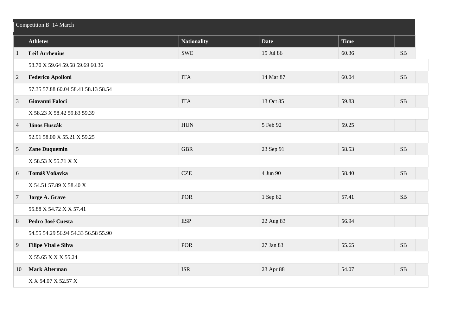| Competition B 14 March |                                     |                    |             |       |           |  |
|------------------------|-------------------------------------|--------------------|-------------|-------|-----------|--|
|                        | <b>Athletes</b>                     | <b>Nationality</b> | <b>Date</b> | Time  |           |  |
| $\mathbf{1}$           | <b>Leif Arrhenius</b>               | <b>SWE</b>         | 15 Jul 86   | 60.36 | SB        |  |
|                        | 58.70 X 59.64 59.58 59.69 60.36     |                    |             |       |           |  |
| $\overline{2}$         | <b>Federico Apolloni</b>            | <b>ITA</b>         | 14 Mar 87   | 60.04 | $\rm SB$  |  |
|                        | 57.35 57.88 60.04 58.41 58.13 58.54 |                    |             |       |           |  |
| 3                      | Giovanni Faloci                     | <b>ITA</b>         | 13 Oct 85   | 59.83 | SB        |  |
|                        | X 58.23 X 58.42 59.83 59.39         |                    |             |       |           |  |
| $\overline{4}$         | János Huszák                        | <b>HUN</b>         | 5 Feb 92    | 59.25 |           |  |
|                        | 52.91 58.00 X 55.21 X 59.25         |                    |             |       |           |  |
| $\sqrt{5}$             | <b>Zane Duquemin</b>                | <b>GBR</b>         | 23 Sep 91   | 58.53 | <b>SB</b> |  |
|                        | X 58.53 X 55.71 X X                 |                    |             |       |           |  |
| 6                      | Tomáš Voňavka                       | $CZE$              | 4 Jun 90    | 58.40 | $\rm SB$  |  |
|                        | X 54.51 57.89 X 58.40 X             |                    |             |       |           |  |
| $\overline{7}$         | Jorge A. Grave                      | <b>POR</b>         | 1 Sep 82    | 57.41 | SB        |  |
|                        | 55.88 X 54.72 X X 57.41             |                    |             |       |           |  |
| 8                      | Pedro José Cuesta                   | <b>ESP</b>         | 22 Aug 83   | 56.94 |           |  |
|                        | 54.55 54.29 56.94 54.33 56.58 55.90 |                    |             |       |           |  |
| 9                      | Filipe Vital e Silva                | <b>POR</b>         | 27 Jan 83   | 55.65 | <b>SB</b> |  |
|                        | X 55.65 X X X 55.24                 |                    |             |       |           |  |
| 10                     | <b>Mark Alterman</b>                | <b>ISR</b>         | 23 Apr 88   | 54.07 | $\rm SB$  |  |
|                        | X X 54.07 X 52.57 X                 |                    |             |       |           |  |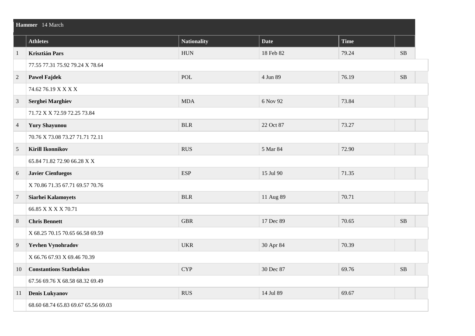|                | Hammer 14 March                     |                    |             |             |          |  |  |
|----------------|-------------------------------------|--------------------|-------------|-------------|----------|--|--|
|                | <b>Athletes</b>                     | <b>Nationality</b> | <b>Date</b> | <b>Time</b> |          |  |  |
| $\mathbf{1}$   | <b>Krisztián Pars</b>               | <b>HUN</b>         | 18 Feb 82   | 79.24       | $\rm SB$ |  |  |
|                | 77.55 77.31 75.92 79.24 X 78.64     |                    |             |             |          |  |  |
| $\overline{2}$ | <b>Pawel Fajdek</b>                 | POL                | 4 Jun 89    | 76.19       | $\rm SB$ |  |  |
|                | 74.62 76.19 X X X X                 |                    |             |             |          |  |  |
| $\mathfrak{Z}$ | <b>Serghei Marghiev</b>             | <b>MDA</b>         | 6 Nov 92    | 73.84       |          |  |  |
|                | 71.72 X X 72.59 72.25 73.84         |                    |             |             |          |  |  |
| $\overline{4}$ | <b>Yury Shayunou</b>                | <b>BLR</b>         | 22 Oct 87   | 73.27       |          |  |  |
|                | 70.76 X 73.08 73.27 71.71 72.11     |                    |             |             |          |  |  |
| $\overline{5}$ | <b>Kirill Ikonnikov</b>             | <b>RUS</b>         | 5 Mar 84    | 72.90       |          |  |  |
|                | 65.84 71.82 72.90 66.28 X X         |                    |             |             |          |  |  |
| 6              | <b>Javier Cienfuegos</b>            | <b>ESP</b>         | 15 Jul 90   | 71.35       |          |  |  |
|                | X 70.86 71.35 67.71 69.57 70.76     |                    |             |             |          |  |  |
| $\overline{7}$ | Siarhei Kalamoyets                  | <b>BLR</b>         | 11 Aug 89   | 70.71       |          |  |  |
|                | 66.85 X X X X 70.71                 |                    |             |             |          |  |  |
| $\,8\,$        | <b>Chris Bennett</b>                | <b>GBR</b>         | 17 Dec 89   | 70.65       | SB       |  |  |
|                | X 68.25 70.15 70.65 66.58 69.59     |                    |             |             |          |  |  |
| $\overline{9}$ | <b>Yevhen Vynohradov</b>            | <b>UKR</b>         | 30 Apr 84   | 70.39       |          |  |  |
|                | X 66.76 67.93 X 69.46 70.39         |                    |             |             |          |  |  |
| 10             | <b>Constantions Stathelakos</b>     | <b>CYP</b>         | 30 Dec 87   | 69.76       | SB       |  |  |
|                | 67.56 69.76 X 68.58 68.32 69.49     |                    |             |             |          |  |  |
| 11             | <b>Denis Lukyanov</b>               | <b>RUS</b>         | 14 Jul 89   | 69.67       |          |  |  |
|                | 68.60 68.74 65.83 69.67 65.56 69.03 |                    |             |             |          |  |  |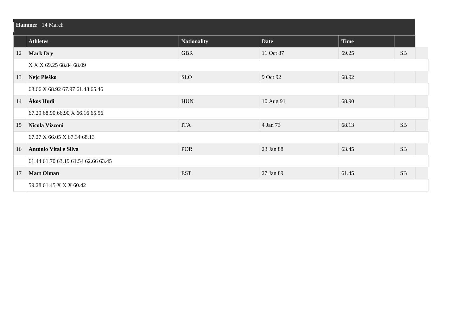| Hammer 14 March |                                     |                    |             |             |           |  |  |
|-----------------|-------------------------------------|--------------------|-------------|-------------|-----------|--|--|
|                 | <b>Athletes</b>                     | <b>Nationality</b> | <b>Date</b> | <b>Time</b> |           |  |  |
| 12              | <b>Mark Dry</b>                     | <b>GBR</b>         | 11 Oct 87   | 69.25       | <b>SB</b> |  |  |
|                 | X X X 69.25 68.84 68.09             |                    |             |             |           |  |  |
| 13              | Nejc Pleško                         | <b>SLO</b>         | 9 Oct 92    | 68.92       |           |  |  |
|                 | 68.66 X 68.92 67.97 61.48 65.46     |                    |             |             |           |  |  |
| 14              | Ákos Hudi                           | <b>HUN</b>         | 10 Aug 91   | 68.90       |           |  |  |
|                 | 67.29 68.90 66.90 X 66.16 65.56     |                    |             |             |           |  |  |
| 15              | Nicola Vizzoni                      | <b>ITA</b>         | 4 Jan 73    | 68.13       | <b>SB</b> |  |  |
|                 | 67.27 X 66.05 X 67.34 68.13         |                    |             |             |           |  |  |
| 16              | António Vital e Silva               | POR                | 23 Jan 88   | 63.45       | $\rm SB$  |  |  |
|                 | 61.44 61.70 63.19 61.54 62.66 63.45 |                    |             |             |           |  |  |
| 17              | <b>Mart Olman</b>                   | <b>EST</b>         | 27 Jan 89   | 61.45       | <b>SB</b> |  |  |
|                 | 59.28 61.45 X X X 60.42             |                    |             |             |           |  |  |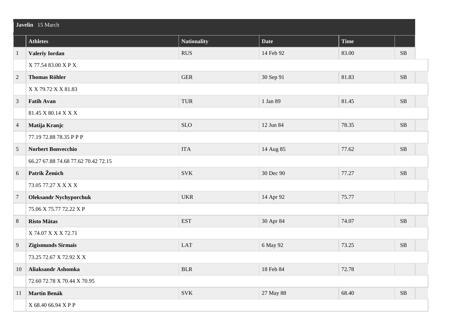|                | Javelin 15 March                    |                    |             |             |            |  |  |
|----------------|-------------------------------------|--------------------|-------------|-------------|------------|--|--|
|                | <b>Athletes</b>                     | <b>Nationality</b> | <b>Date</b> | <b>Time</b> |            |  |  |
| $\mathbf{1}$   | <b>Valeriy Iordan</b>               | <b>RUS</b>         | 14 Feb 92   | 83.00       | ${\bf SB}$ |  |  |
|                | X 77.54 83.00 X P X                 |                    |             |             |            |  |  |
| $\sqrt{2}$     | <b>Thomas Röhler</b>                | ${\tt GER}$        | 30 Sep 91   | 81.83       | $\rm SB$   |  |  |
|                | X X 79.72 X X 81.83                 |                    |             |             |            |  |  |
| $\mathfrak{Z}$ | <b>Fatih Avan</b>                   | TUR                | 1 Jan 89    | 81.45       | $\rm SB$   |  |  |
|                | 81.45 X 80.14 X X X                 |                    |             |             |            |  |  |
| $\overline{4}$ | Matija Kranjc                       | <b>SLO</b>         | 12 Jun 84   | 78.35       | $\rm SB$   |  |  |
|                | 77.19 72.88 78.35 P P P             |                    |             |             |            |  |  |
| $\overline{5}$ | Norbert Bonvecchio                  | <b>ITA</b>         | 14 Aug 85   | 77.62       | $\rm SB$   |  |  |
|                | 66.27 67.88 74.68 77.62 70.42 72.15 |                    |             |             |            |  |  |
| 6              | Patrik Ženúch                       | <b>SVK</b>         | 30 Dec 90   | 77.27       | $\rm SB$   |  |  |
|                | 73.05 77.27 X X X X                 |                    |             |             |            |  |  |
| $\overline{7}$ | <b>Oleksandr Nychyporchuk</b>       | <b>UKR</b>         | 14 Apr 92   | 75.77       |            |  |  |
|                | 75.06 X 75.77 72.22 X P             |                    |             |             |            |  |  |
| $\,8\,$        | <b>Risto Mätas</b>                  | <b>EST</b>         | 30 Apr 84   | 74.07       | $\rm SB$   |  |  |
|                | X 74.07 X X X 72.71                 |                    |             |             |            |  |  |
| 9              | Zigismunds Sirmais                  | <b>LAT</b>         | 6 May 92    | 73.25       | <b>SB</b>  |  |  |
|                | 73.25 72.67 X 72.92 X X             |                    |             |             |            |  |  |
| 10             | <b>Aliaksandr Ashomka</b>           | <b>BLR</b>         | 18 Feb 84   | 72.78       |            |  |  |
|                | 72.60 72.78 X 70.44 X 70.95         |                    |             |             |            |  |  |
| 11             | <b>Martin Benák</b>                 | <b>SVK</b>         | 27 May 88   | 68.40       | $\rm SB$   |  |  |
|                | X 68.40 66.94 X P P                 |                    |             |             |            |  |  |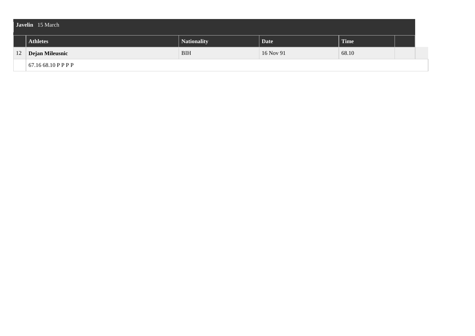| Javelin 15 March |                     |                    |                   |             |  |  |  |
|------------------|---------------------|--------------------|-------------------|-------------|--|--|--|
|                  | <b>Athletes</b>     | <b>Nationality</b> | Date <sup>1</sup> | <b>Time</b> |  |  |  |
|                  | 12 Dejan Mileusnic  | <b>BIH</b>         | 16 Nov 91         | 68.10       |  |  |  |
|                  | 67.16 68.10 P P P P |                    |                   |             |  |  |  |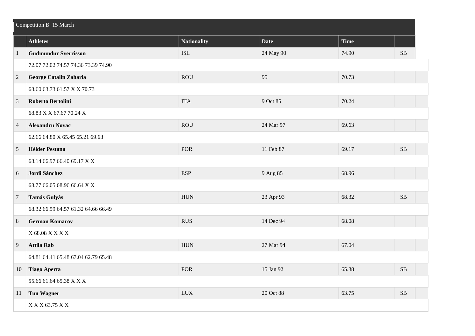|                | Competition B 15 March              |                    |             |             |          |  |  |
|----------------|-------------------------------------|--------------------|-------------|-------------|----------|--|--|
|                | <b>Athletes</b>                     | <b>Nationality</b> | <b>Date</b> | <b>Time</b> |          |  |  |
| $\mathbf{1}$   | <b>Gudmundur Sverrisson</b>         | <b>ISL</b>         | 24 May 90   | 74.90       | SB       |  |  |
|                | 72.07 72.02 74.57 74.36 73.39 74.90 |                    |             |             |          |  |  |
| $\overline{2}$ | George Catalin Zaharia              | <b>ROU</b>         | 95          | 70.73       |          |  |  |
|                | 68.60 63.73 61.57 X X 70.73         |                    |             |             |          |  |  |
| 3              | <b>Roberto Bertolini</b>            | <b>ITA</b>         | 9 Oct 85    | 70.24       |          |  |  |
|                | 68.83 X X 67.67 70.24 X             |                    |             |             |          |  |  |
| $\overline{4}$ | <b>Alexandru Novac</b>              | <b>ROU</b>         | 24 Mar 97   | 69.63       |          |  |  |
|                | 62.66 64.80 X 65.45 65.21 69.63     |                    |             |             |          |  |  |
| 5              | <b>Hélder Pestana</b>               | POR                | 11 Feb 87   | 69.17       | $\rm SB$ |  |  |
|                | 68.14 66.97 66.40 69.17 X X         |                    |             |             |          |  |  |
| $6\,$          | Jordi Sánchez                       | <b>ESP</b>         | 9 Aug 85    | 68.96       |          |  |  |
|                | 68.77 66.05 68.96 66.64 X X         |                    |             |             |          |  |  |
| $\overline{7}$ | Tamás Gulyás                        | <b>HUN</b>         | 23 Apr 93   | 68.32       | $\rm SB$ |  |  |
|                | 68.32 66.59 64.57 61.32 64.66 66.49 |                    |             |             |          |  |  |
| $\,8\,$        | <b>German Komarov</b>               | <b>RUS</b>         | 14 Dec 94   | 68.08       |          |  |  |
|                | $\rm X$ 68.08 X X X X               |                    |             |             |          |  |  |
| 9              | <b>Attila Rab</b>                   | ${\rm HUN}$        | 27 Mar 94   | 67.04       |          |  |  |
|                | 64.81 64.41 65.48 67.04 62.79 65.48 |                    |             |             |          |  |  |
| 10             | <b>Tiago Aperta</b>                 | POR                | 15 Jan 92   | 65.38       | SB       |  |  |
|                | 55.66 61.64 65.38 X X X             |                    |             |             |          |  |  |
| 11             | <b>Tun Wagner</b>                   | <b>LUX</b>         | 20 Oct 88   | 63.75       | $\rm SB$ |  |  |
|                | X X X 63.75 X X                     |                    |             |             |          |  |  |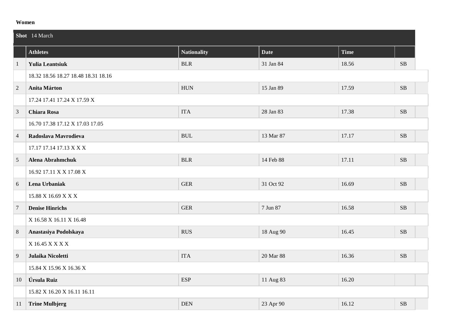#### **Women**

|                | Shot 14 March                       |                    |             |       |           |  |  |
|----------------|-------------------------------------|--------------------|-------------|-------|-----------|--|--|
|                | <b>Athletes</b>                     | <b>Nationality</b> | <b>Date</b> | Time  |           |  |  |
| $\mathbf{1}$   | <b>Yulia Leantsiuk</b>              | <b>BLR</b>         | 31 Jan 84   | 18.56 | SB        |  |  |
|                | 18.32 18.56 18.27 18.48 18.31 18.16 |                    |             |       |           |  |  |
| $\overline{2}$ | <b>Anita Márton</b>                 | ${\rm HUN}$        | 15 Jan 89   | 17.59 | SB        |  |  |
|                | 17.24 17.41 17.24 X 17.59 X         |                    |             |       |           |  |  |
| $\overline{3}$ | <b>Chiara Rosa</b>                  | <b>ITA</b>         | 28 Jan 83   | 17.38 | $\rm SB$  |  |  |
|                | 16.70 17.38 17.12 X 17.03 17.05     |                    |             |       |           |  |  |
| $\overline{4}$ | Radoslava Mavrodieva                | <b>BUL</b>         | 13 Mar 87   | 17.17 | <b>SB</b> |  |  |
|                | 17.17 17.14 17.13 X X X             |                    |             |       |           |  |  |
| $\overline{5}$ | <b>Alena Abrahmchuk</b>             | <b>BLR</b>         | 14 Feb 88   | 17.11 | SB        |  |  |
|                | 16.92 17.11 X X 17.08 X             |                    |             |       |           |  |  |
| 6              | Lena Urbaniak                       | <b>GER</b>         | 31 Oct 92   | 16.69 | $\rm SB$  |  |  |
|                | 15.88 X 16.69 X X X                 |                    |             |       |           |  |  |
| $\overline{7}$ | <b>Denise Hinrichs</b>              | <b>GER</b>         | 7 Jun 87    | 16.58 | SB        |  |  |
|                | X 16.58 X 16.11 X 16.48             |                    |             |       |           |  |  |
| 8              | Anastasiya Podolskaya               | <b>RUS</b>         | 18 Aug 90   | 16.45 | $\rm SB$  |  |  |
|                | X 16.45 X X X X                     |                    |             |       |           |  |  |
| 9              | Julaika Nicoletti                   | <b>ITA</b>         | 20 Mar 88   | 16.36 | SB        |  |  |
|                | 15.84 X 15.96 X 16.36 X             |                    |             |       |           |  |  |
| 10             | Úrsula Ruiz                         | <b>ESP</b>         | 11 Aug 83   | 16.20 |           |  |  |
|                | 15.82 X 16.20 X 16.11 16.11         |                    |             |       |           |  |  |
| 11             | <b>Trine Mulbjerg</b>               | <b>DEN</b>         | 23 Apr 90   | 16.12 | SB        |  |  |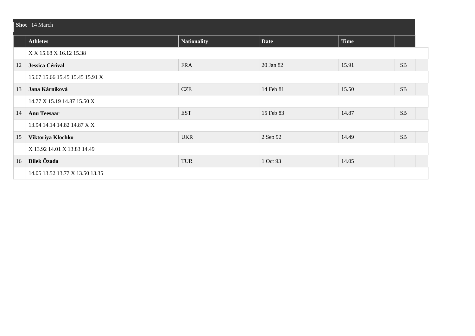|    | Shot 14 March                   |                    |             |             |           |  |  |  |
|----|---------------------------------|--------------------|-------------|-------------|-----------|--|--|--|
|    | <b>Athletes</b>                 | <b>Nationality</b> | <b>Date</b> | <b>Time</b> |           |  |  |  |
|    | X X 15.68 X 16.12 15.38         |                    |             |             |           |  |  |  |
| 12 | Jessica Cérival                 | <b>FRA</b>         | 20 Jan 82   | 15.91       | <b>SB</b> |  |  |  |
|    | 15.67 15.66 15.45 15.45 15.91 X |                    |             |             |           |  |  |  |
| 13 | Jana Kárníková                  | <b>CZE</b>         | 14 Feb 81   | 15.50       | SB        |  |  |  |
|    | 14.77 X 15.19 14.87 15.50 X     |                    |             |             |           |  |  |  |
| 14 | <b>Anu Teesaar</b>              | <b>EST</b>         | 15 Feb 83   | 14.87       | <b>SB</b> |  |  |  |
|    | 13.94 14.14 14.82 14.87 X X     |                    |             |             |           |  |  |  |
| 15 | Viktoriya Klochko               | <b>UKR</b>         | 2 Sep 92    | 14.49       | $\rm SB$  |  |  |  |
|    | X 13.92 14.01 X 13.83 14.49     |                    |             |             |           |  |  |  |
| 16 | Dilek Özada                     | <b>TUR</b>         | 1 Oct 93    | 14.05       |           |  |  |  |
|    | 14.05 13.52 13.77 X 13.50 13.35 |                    |             |             |           |  |  |  |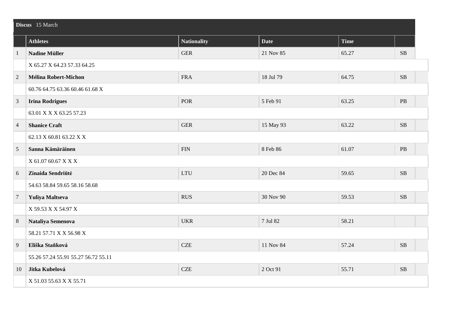|                | Discus 15 March                     |                    |             |             |           |  |  |
|----------------|-------------------------------------|--------------------|-------------|-------------|-----------|--|--|
|                | <b>Athletes</b>                     | <b>Nationality</b> | <b>Date</b> | <b>Time</b> |           |  |  |
| $\mathbf{1}$   | <b>Nadine Müller</b>                | <b>GER</b>         | 21 Nov 85   | 65.27       | <b>SB</b> |  |  |
|                | X 65.27 X 64.23 57.33 64.25         |                    |             |             |           |  |  |
| $\overline{2}$ | Mélina Robert-Michon                | <b>FRA</b>         | 18 Jul 79   | 64.75       | $\rm SB$  |  |  |
|                | 60.76 64.75 63.36 60.46 61.68 X     |                    |             |             |           |  |  |
| 3              | <b>Irina Rodrigues</b>              | <b>POR</b>         | 5 Feb 91    | 63.25       | <b>PB</b> |  |  |
|                | 63.01 X X X 63.25 57.23             |                    |             |             |           |  |  |
| $\overline{4}$ | <b>Shanice Craft</b>                | <b>GER</b>         | 15 May 93   | 63.22       | <b>SB</b> |  |  |
|                | 62.13 X 60.81 63.22 X X             |                    |             |             |           |  |  |
| 5              | Sanna Kämäräinen                    | ${\rm FIN}$        | 8 Feb 86    | 61.07       | PB        |  |  |
|                | X 61.07 60.67 X X X                 |                    |             |             |           |  |  |
| 6              | Zinaida Sendriūtė                   | <b>LTU</b>         | 20 Dec 84   | 59.65       | <b>SB</b> |  |  |
|                | 54.63 58.84 59.65 58.16 58.68       |                    |             |             |           |  |  |
| $\overline{7}$ | Yuliya Maltseva                     | <b>RUS</b>         | 30 Nov 90   | 59.53       | SB        |  |  |
|                | X 59.53 X X 54.97 X                 |                    |             |             |           |  |  |
| $8\phantom{1}$ | Nataliya Semenova                   | <b>UKR</b>         | 7 Jul 82    | 58.21       |           |  |  |
|                | 58.21 57.71 X X 56.98 X             |                    |             |             |           |  |  |
| 9              | Eliška Staňková                     | <b>CZE</b>         | 11 Nov 84   | 57.24       | <b>SB</b> |  |  |
|                | 55.26 57.24 55.91 55.27 56.72 55.11 |                    |             |             |           |  |  |
| 10             | Jitka Kubelová                      | <b>CZE</b>         | 2 Oct 91    | 55.71       | $\rm SB$  |  |  |
|                | X 51.03 55.63 X X 55.71             |                    |             |             |           |  |  |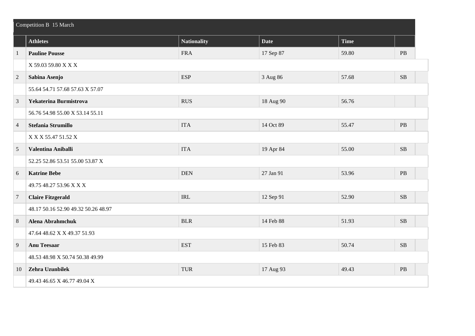|                | Competition B 15 March              |                    |             |       |           |  |  |
|----------------|-------------------------------------|--------------------|-------------|-------|-----------|--|--|
|                | <b>Athletes</b>                     | <b>Nationality</b> | <b>Date</b> | Time  |           |  |  |
| $\mathbf{1}$   | <b>Pauline Pousse</b>               | <b>FRA</b>         | 17 Sep 87   | 59.80 | $\rm{PB}$ |  |  |
|                | X 59.03 59.80 X X X                 |                    |             |       |           |  |  |
| $\overline{2}$ | Sabina Asenjo                       | <b>ESP</b>         | 3 Aug 86    | 57.68 | $\rm SB$  |  |  |
|                | 55.64 54.71 57.68 57.63 X 57.07     |                    |             |       |           |  |  |
| 3              | Yekaterina Burmistrova              | <b>RUS</b>         | 18 Aug 90   | 56.76 |           |  |  |
|                | 56.76 54.98 55.00 X 53.14 55.11     |                    |             |       |           |  |  |
| $\overline{4}$ | Stefania Strumillo                  | <b>ITA</b>         | 14 Oct 89   | 55.47 | $\rm{PB}$ |  |  |
|                | X X X 55.47 51.52 X                 |                    |             |       |           |  |  |
| 5              | Valentina Aniballi                  | <b>ITA</b>         | 19 Apr 84   | 55.00 | $\rm SB$  |  |  |
|                | 52.25 52.86 53.51 55.00 53.87 X     |                    |             |       |           |  |  |
| 6              | <b>Katrine Bebe</b>                 | <b>DEN</b>         | 27 Jan 91   | 53.96 | $\rm{PB}$ |  |  |
|                | 49.75 48.27 53.96 X X X             |                    |             |       |           |  |  |
| $\overline{7}$ | <b>Claire Fitzgerald</b>            | <b>IRL</b>         | 12 Sep 91   | 52.90 | $\rm SB$  |  |  |
|                | 48.17 50.16 52.90 49.32 50.26 48.97 |                    |             |       |           |  |  |
| $8\phantom{1}$ | <b>Alena Abrahmchuk</b>             | <b>BLR</b>         | 14 Feb 88   | 51.93 | SB        |  |  |
|                | 47.64 48.62 X X 49.37 51.93         |                    |             |       |           |  |  |
| 9              | <b>Anu Teesaar</b>                  | <b>EST</b>         | 15 Feb 83   | 50.74 | SB        |  |  |
|                | 48.53 48.98 X 50.74 50.38 49.99     |                    |             |       |           |  |  |
| 10             | Zehra Uzunbilek                     | <b>TUR</b>         | 17 Aug 93   | 49.43 | $\rm{PB}$ |  |  |
|                | 49.43 46.65 X 46.77 49.04 X         |                    |             |       |           |  |  |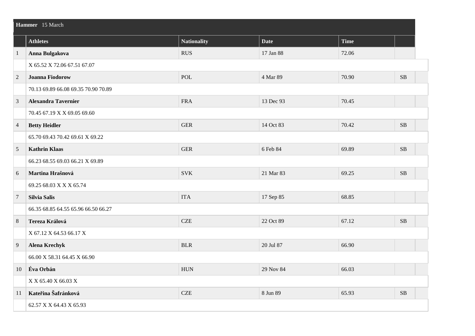|                  | Hammer 15 March                     |                    |             |             |           |  |  |  |
|------------------|-------------------------------------|--------------------|-------------|-------------|-----------|--|--|--|
|                  | <b>Athletes</b>                     | <b>Nationality</b> | <b>Date</b> | <b>Time</b> |           |  |  |  |
| $\mathbf{1}$     | Anna Bulgakova                      | <b>RUS</b>         | 17 Jan 88   | 72.06       |           |  |  |  |
|                  | X 65.52 X 72.06 67.51 67.07         |                    |             |             |           |  |  |  |
| $\overline{2}$   | <b>Joanna Fiodorow</b>              | <b>POL</b>         | 4 Mar 89    | 70.90       | <b>SB</b> |  |  |  |
|                  | 70.13 69.89 66.08 69.35 70.90 70.89 |                    |             |             |           |  |  |  |
| 3                | <b>Alexandra Tavernier</b>          | <b>FRA</b>         | 13 Dec 93   | 70.45       |           |  |  |  |
|                  | 70.45 67.19 X X 69.05 69.60         |                    |             |             |           |  |  |  |
| $\overline{4}$   | <b>Betty Heidler</b>                | ${\tt GER}$        | 14 Oct 83   | 70.42       | $\rm SB$  |  |  |  |
|                  | 65.70 69.43 70.42 69.61 X 69.22     |                    |             |             |           |  |  |  |
| 5                | <b>Kathrin Klaas</b>                | <b>GER</b>         | 6 Feb 84    | 69.89       | SB        |  |  |  |
|                  | 66.23 68.55 69.03 66.21 X 69.89     |                    |             |             |           |  |  |  |
| 6                | Martina Hrašnová                    | <b>SVK</b>         | 21 Mar 83   | 69.25       | $\rm SB$  |  |  |  |
|                  | 69.25 68.03 X X X 65.74             |                    |             |             |           |  |  |  |
| $\overline{7}$   | Silvia Salis                        | <b>ITA</b>         | 17 Sep 85   | 68.85       |           |  |  |  |
|                  | 66.35 68.85 64.55 65.96 66.50 66.27 |                    |             |             |           |  |  |  |
| $\boldsymbol{8}$ | Tereza Králová                      | <b>CZE</b>         | 22 Oct 89   | 67.12       | <b>SB</b> |  |  |  |
|                  | X 67.12 X 64.53 66.17 X             |                    |             |             |           |  |  |  |
| 9                | <b>Alena Krechyk</b>                | <b>BLR</b>         | 20 Jul 87   | 66.90       |           |  |  |  |
|                  | 66.00 X 58.31 64.45 X 66.90         |                    |             |             |           |  |  |  |
| 10               | Éva Orbán                           | <b>HUN</b>         | 29 Nov 84   | 66.03       |           |  |  |  |
|                  | X X 65.40 X 66.03 X                 |                    |             |             |           |  |  |  |
| 11               | Kateřina Šafránková                 | <b>CZE</b>         | 8 Jun 89    | 65.93       | $\rm SB$  |  |  |  |
|                  | 62.57 X X 64.43 X 65.93             |                    |             |             |           |  |  |  |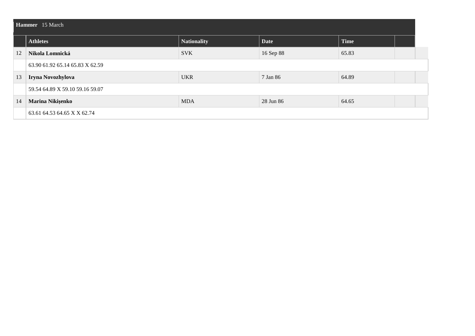|    | <b>Hammer</b> 15 March          |                    |             |             |  |  |  |  |  |
|----|---------------------------------|--------------------|-------------|-------------|--|--|--|--|--|
|    | <b>Athletes</b>                 | <b>Nationality</b> | <b>Date</b> | <b>Time</b> |  |  |  |  |  |
| 12 | Nikola Lomnická                 | <b>SVK</b>         | 16 Sep 88   | 65.83       |  |  |  |  |  |
|    | 63.90 61.92 65.14 65.83 X 62.59 |                    |             |             |  |  |  |  |  |
| 13 | Iryna Novozhylova               | <b>UKR</b>         | 7 Jan 86    | 64.89       |  |  |  |  |  |
|    | 59.54 64.89 X 59.10 59.16 59.07 |                    |             |             |  |  |  |  |  |
| 14 | Marina Nikişenko                | <b>MDA</b>         | 28 Jun 86   | 64.65       |  |  |  |  |  |
|    | 63.61 64.53 64.65 X X 62.74     |                    |             |             |  |  |  |  |  |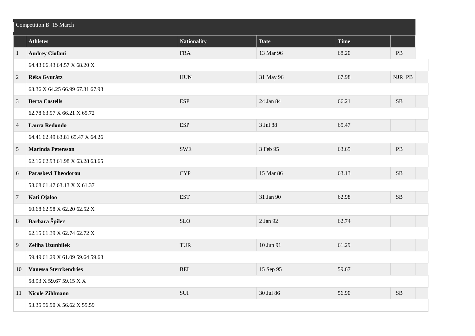|                | Competition B 15 March          |             |             |             |           |  |  |
|----------------|---------------------------------|-------------|-------------|-------------|-----------|--|--|
|                | <b>Athletes</b>                 | Nationality | <b>Date</b> | <b>Time</b> |           |  |  |
| $\mathbf{1}$   | <b>Audrey Ciofani</b>           | <b>FRA</b>  | 13 Mar 96   | 68.20       | $\rm{PB}$ |  |  |
|                | 64.43 66.43 64.57 X 68.20 X     |             |             |             |           |  |  |
| $\overline{2}$ | Réka Gyurátz                    | <b>HUN</b>  | 31 May 96   | 67.98       | NJR PB    |  |  |
|                | 63.36 X 64.25 66.99 67.31 67.98 |             |             |             |           |  |  |
| $\mathfrak{Z}$ | <b>Berta Castells</b>           | <b>ESP</b>  | 24 Jan 84   | 66.21       | $\rm SB$  |  |  |
|                | 62.78 63.97 X 66.21 X 65.72     |             |             |             |           |  |  |
| $\overline{4}$ | Laura Redondo                   | <b>ESP</b>  | 3 Jul 88    | 65.47       |           |  |  |
|                | 64.41 62.49 63.81 65.47 X 64.26 |             |             |             |           |  |  |
| 5              | <b>Marinda Petersson</b>        | <b>SWE</b>  | 3 Feb 95    | 63.65       | $\rm{PB}$ |  |  |
|                | 62.16 62.93 61.98 X 63.28 63.65 |             |             |             |           |  |  |
| 6              | <b>Paraskevi Theodorou</b>      | <b>CYP</b>  | 15 Mar 86   | 63.13       | SB        |  |  |
|                | 58.68 61.47 63.13 X X 61.37     |             |             |             |           |  |  |
| $\overline{7}$ | Kati Ojaloo                     | <b>EST</b>  | 31 Jan 90   | 62.98       | $\rm SB$  |  |  |
|                | 60.68 62.98 X 62.20 62.52 X     |             |             |             |           |  |  |
| $\,8\,$        | Barbara Špiler                  | <b>SLO</b>  | 2 Jan 92    | 62.74       |           |  |  |
|                | 62.15 61.39 X 62.74 62.72 X     |             |             |             |           |  |  |
| 9              | Zeliha Uzunbilek                | <b>TUR</b>  | 10 Jun 91   | 61.29       |           |  |  |
|                | 59.49 61.29 X 61.09 59.64 59.68 |             |             |             |           |  |  |
| 10             | <b>Vanessa Sterckendries</b>    | <b>BEL</b>  | 15 Sep 95   | 59.67       |           |  |  |
|                | 58.93 X 59.67 59.15 X X         |             |             |             |           |  |  |
| 11             | <b>Nicole Zihlmann</b>          | SUI         | 30 Jul 86   | 56.90       | $\rm SB$  |  |  |
|                | 53.35 56.90 X 56.62 X 55.59     |             |             |             |           |  |  |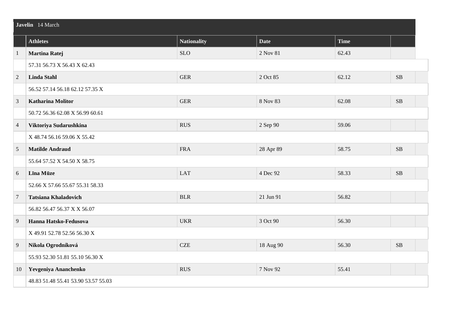|                | Javelin 14 March                    |                    |             |             |           |  |  |
|----------------|-------------------------------------|--------------------|-------------|-------------|-----------|--|--|
|                | <b>Athletes</b>                     | <b>Nationality</b> | <b>Date</b> | <b>Time</b> |           |  |  |
| $\mathbf{1}$   | <b>Martina Ratej</b>                | <b>SLO</b>         | 2 Nov 81    | 62.43       |           |  |  |
|                | 57.31 56.73 X 56.43 X 62.43         |                    |             |             |           |  |  |
| $\overline{2}$ | <b>Linda Stahl</b>                  | <b>GER</b>         | 2 Oct 85    | 62.12       | <b>SB</b> |  |  |
|                | 56.52 57.14 56.18 62.12 57.35 X     |                    |             |             |           |  |  |
| 3              | <b>Katharina Molitor</b>            | <b>GER</b>         | 8 Nov 83    | 62.08       | $\rm SB$  |  |  |
|                | 50.72 56.36 62.08 X 56.99 60.61     |                    |             |             |           |  |  |
| $\overline{4}$ | Viktoriya Sudarushkina              | <b>RUS</b>         | 2 Sep 90    | 59.06       |           |  |  |
|                | X 48.74 56.16 59.06 X 55.42         |                    |             |             |           |  |  |
| 5              | <b>Matilde Andraud</b>              | <b>FRA</b>         | 28 Apr 89   | 58.75       | SB        |  |  |
|                | 55.64 57.52 X 54.50 X 58.75         |                    |             |             |           |  |  |
| 6              | Līna Mūze                           | <b>LAT</b>         | 4 Dec 92    | 58.33       | SB        |  |  |
|                | 52.66 X 57.66 55.67 55.31 58.33     |                    |             |             |           |  |  |
| $\overline{7}$ | <b>Tatsiana Khaladovich</b>         | <b>BLR</b>         | 21 Jun 91   | 56.82       |           |  |  |
|                | 56.82 56.47 56.37 X X 56.07         |                    |             |             |           |  |  |
| 9              | Hanna Hatsko-Fedusova               | <b>UKR</b>         | 3 Oct 90    | 56.30       |           |  |  |
|                | X 49.91 52.78 52.56 56.30 X         |                    |             |             |           |  |  |
| 9              | Nikola Ogrodníková                  | CZE                | 18 Aug 90   | 56.30       | $\rm SB$  |  |  |
|                | 55.93 52.30 51.81 55.10 56.30 X     |                    |             |             |           |  |  |
| 10             | Yevgeniya Ananchenko                | <b>RUS</b>         | 7 Nov 92    | 55.41       |           |  |  |
|                | 48.83 51.48 55.41 53.90 53.57 55.03 |                    |             |             |           |  |  |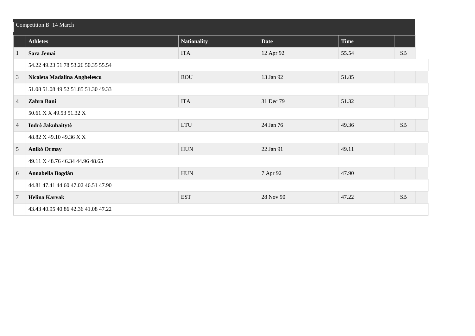|                | Competition B 14 March              |                    |             |             |          |  |  |
|----------------|-------------------------------------|--------------------|-------------|-------------|----------|--|--|
|                | <b>Athletes</b>                     | <b>Nationality</b> | <b>Date</b> | <b>Time</b> |          |  |  |
|                | Sara Jemai                          | <b>ITA</b>         | 12 Apr 92   | 55.54       | $\rm SB$ |  |  |
|                | 54.22 49.23 51.78 53.26 50.35 55.54 |                    |             |             |          |  |  |
| 3              | Nicoleta Madalina Anghelescu        | <b>ROU</b>         | 13 Jan 92   | 51.85       |          |  |  |
|                | 51.08 51.08 49.52 51.85 51.30 49.33 |                    |             |             |          |  |  |
| $\overline{4}$ | Zahra Bani                          | <b>ITA</b>         | 31 Dec 79   | 51.32       |          |  |  |
|                | 50.61 X X 49.53 51.32 X             |                    |             |             |          |  |  |
| $\overline{4}$ | Indrė Jakubaitytė                   | <b>LTU</b>         | 24 Jan 76   | 49.36       | SB       |  |  |
|                | 48.82 X 49.10 49.36 X X             |                    |             |             |          |  |  |
| 5              | Anikó Ormay                         | ${\rm HUN}$        | 22 Jan 91   | 49.11       |          |  |  |
|                | 49.11 X 48.76 46.34 44.96 48.65     |                    |             |             |          |  |  |
| 6              | Annabella Bogdán                    | ${\rm HUN}$        | 7 Apr 92    | 47.90       |          |  |  |
|                | 44.81 47.41 44.60 47.02 46.51 47.90 |                    |             |             |          |  |  |
| $\overline{7}$ | <b>Helina Karvak</b>                | <b>EST</b>         | 28 Nov 90   | 47.22       | SB       |  |  |
|                | 43.43 40.95 40.86 42.36 41.08 47.22 |                    |             |             |          |  |  |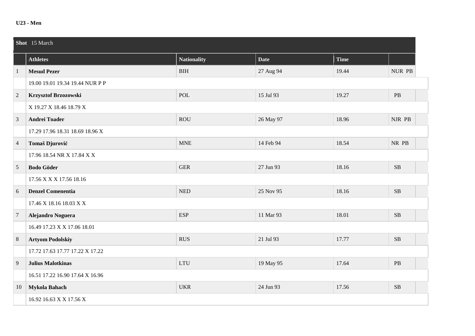#### **U23 - Men**

|                 | Shot 15 March                   |                             |             |             |           |  |  |  |
|-----------------|---------------------------------|-----------------------------|-------------|-------------|-----------|--|--|--|
|                 | <b>Athletes</b>                 | <b>Nationality</b>          | <b>Date</b> | <b>Time</b> |           |  |  |  |
| $\mathbf{1}$    | <b>Mesud Pezer</b>              | <b>BIH</b>                  | 27 Aug 94   | 19.44       | NUR PB    |  |  |  |
|                 | 19.00 19.01 19.34 19.44 NUR P P |                             |             |             |           |  |  |  |
| $\overline{2}$  | Krzysztof Brzozowski            | POL                         | 15 Jul 93   | 19.27       | $\rm{PB}$ |  |  |  |
|                 | X 19.27 X 18.46 18.79 X         |                             |             |             |           |  |  |  |
| $\mathfrak{Z}$  | <b>Andrei Toader</b>            | <b>ROU</b>                  | 26 May 97   | 18.96       | NJR PB    |  |  |  |
|                 | 17.29 17.96 18.31 18.69 18.96 X |                             |             |             |           |  |  |  |
| $\overline{4}$  | Tomaš Djurović                  | <b>MNE</b>                  | 14 Feb 94   | 18.54       | NR PB     |  |  |  |
|                 | 17.96 18.54 NR X 17.84 X X      |                             |             |             |           |  |  |  |
| $\overline{5}$  | <b>Bodo Göder</b>               | <b>GER</b>                  | 27 Jun 93   | 18.16       | $\rm SB$  |  |  |  |
|                 | 17.56 X X X 17.56 18.16         |                             |             |             |           |  |  |  |
| 6               | <b>Denzel Comenentia</b>        | $\ensuremath{\mathsf{NED}}$ | 25 Nov 95   | 18.16       | SB        |  |  |  |
|                 | 17.46 X 18.16 18.03 X X         |                             |             |             |           |  |  |  |
| $7\phantom{.0}$ | Alejandro Noguera               | <b>ESP</b>                  | 11 Mar 93   | 18.01       | <b>SB</b> |  |  |  |
|                 | 16.49 17.23 X X 17.06 18.01     |                             |             |             |           |  |  |  |
| $\,8\,$         | <b>Artyom Podolskiy</b>         | <b>RUS</b>                  | 21 Jul 93   | 17.77       | $\rm SB$  |  |  |  |
|                 | 17.72 17.63 17.77 17.22 X 17.22 |                             |             |             |           |  |  |  |
| $\overline{9}$  | <b>Julius Malotkinas</b>        | <b>LTU</b>                  | 19 May 95   | 17.64       | $\rm{PB}$ |  |  |  |
|                 | 16.51 17.22 16.90 17.64 X 16.96 |                             |             |             |           |  |  |  |
| 10              | Mykola Bahach                   | <b>UKR</b>                  | 24 Jun 93   | 17.56       | <b>SB</b> |  |  |  |
|                 | 16.92 16.63 X X 17.56 X         |                             |             |             |           |  |  |  |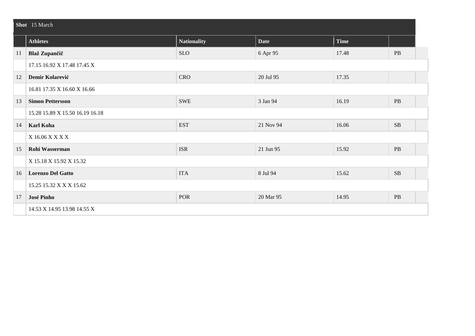|    | Shot 15 March                   |                    |             |             |          |  |  |  |
|----|---------------------------------|--------------------|-------------|-------------|----------|--|--|--|
|    | <b>Athletes</b>                 | <b>Nationality</b> | <b>Date</b> | <b>Time</b> |          |  |  |  |
| 11 | Blaž Zupančič                   | <b>SLO</b>         | 6 Apr 95    | 17.48       | PB       |  |  |  |
|    | 17.15 16.92 X 17.48 17.45 X     |                    |             |             |          |  |  |  |
| 12 | Demir Kolarević                 | <b>CRO</b>         | 20 Jul 95   | 17.35       |          |  |  |  |
|    | 16.81 17.35 X 16.60 X 16.66     |                    |             |             |          |  |  |  |
| 13 | <b>Simon Pettersson</b>         | <b>SWE</b>         | 3 Jan 94    | 16.19       | PB       |  |  |  |
|    | 15.28 15.89 X 15.50 16.19 16.18 |                    |             |             |          |  |  |  |
| 14 | <b>Karl Koha</b>                | <b>EST</b>         | 21 Nov 94   | 16.06       | $\rm SB$ |  |  |  |
|    | X 16.06 X X X X                 |                    |             |             |          |  |  |  |
| 15 | <b>Rohi Wasserman</b>           | <b>ISR</b>         | 21 Jun 95   | 15.92       | PB       |  |  |  |
|    | X 15.18 X 15.92 X 15.32         |                    |             |             |          |  |  |  |
| 16 | <b>Lorenzo Del Gatto</b>        | <b>ITA</b>         | 8 Jul 94    | 15.62       | SB       |  |  |  |
|    | 15.25 15.32 X X X 15.62         |                    |             |             |          |  |  |  |
| 17 | José Pinho                      | <b>POR</b>         | 20 Mar 95   | 14.95       | PB       |  |  |  |
|    | 14.53 X 14.95 13.98 14.55 X     |                    |             |             |          |  |  |  |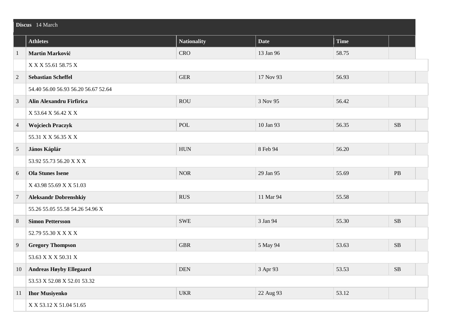|                | Discus 14 March                     |                    |             |             |            |  |  |  |
|----------------|-------------------------------------|--------------------|-------------|-------------|------------|--|--|--|
|                | <b>Athletes</b>                     | <b>Nationality</b> | <b>Date</b> | <b>Time</b> |            |  |  |  |
| $\overline{1}$ | Martin Marković                     | <b>CRO</b>         | 13 Jan 96   | 58.75       |            |  |  |  |
|                | X X X 55.61 58.75 X                 |                    |             |             |            |  |  |  |
| $\overline{c}$ | <b>Sebastian Scheffel</b>           | <b>GER</b>         | 17 Nov 93   | 56.93       |            |  |  |  |
|                | 54.40 56.00 56.93 56.20 56.67 52.64 |                    |             |             |            |  |  |  |
| $\mathfrak{Z}$ | Alin Alexandru Firfirica            | <b>ROU</b>         | 3 Nov 95    | 56.42       |            |  |  |  |
|                | X 53.64 X 56.42 X X                 |                    |             |             |            |  |  |  |
| $\overline{4}$ | <b>Wojciech Praczyk</b>             | POL                | 10 Jan 93   | 56.35       | SB         |  |  |  |
|                | 55.31 X X 56.35 X X                 |                    |             |             |            |  |  |  |
| 5              | János Káplár                        | <b>HUN</b>         | 8 Feb 94    | 56.20       |            |  |  |  |
|                | 53.92 55.73 56.20 X X X             |                    |             |             |            |  |  |  |
| 6              | <b>Ola Stunes Isene</b>             | <b>NOR</b>         | 29 Jan 95   | 55.69       | PB         |  |  |  |
|                | X 43.98 55.69 X X 51.03             |                    |             |             |            |  |  |  |
| $\overline{7}$ | <b>Aleksandr Dobrenshkiy</b>        | <b>RUS</b>         | 11 Mar 94   | 55.58       |            |  |  |  |
|                | 55.26 55.05 55.58 54.26 54.96 X     |                    |             |             |            |  |  |  |
| $8\phantom{1}$ | <b>Simon Pettersson</b>             | <b>SWE</b>         | 3 Jan 94    | 55.30       | SB         |  |  |  |
|                | 52.79 55.30 X X X X                 |                    |             |             |            |  |  |  |
| 9              | <b>Gregory Thompson</b>             | <b>GBR</b>         | 5 May 94    | 53.63       | SB         |  |  |  |
|                | 53.63 X X X 50.31 X                 |                    |             |             |            |  |  |  |
| 10             | <b>Andreas Høyby Ellegaard</b>      | <b>DEN</b>         | 3 Apr 93    | 53.53       | ${\bf SB}$ |  |  |  |
|                | 53.53 X 52.08 X 52.01 53.32         |                    |             |             |            |  |  |  |
| 11             | <b>Ihor Musiyenko</b>               | <b>UKR</b>         | 22 Aug 93   | 53.12       |            |  |  |  |
|                | X X 53.12 X 51.04 51.65             |                    |             |             |            |  |  |  |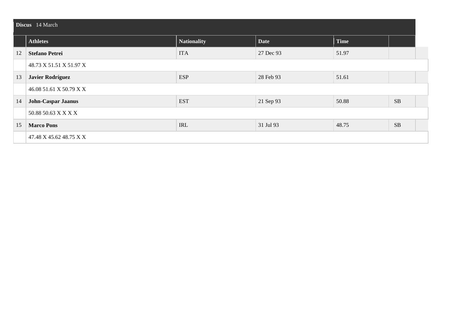|    | Discus 14 March           |                    |             |             |    |  |  |  |  |
|----|---------------------------|--------------------|-------------|-------------|----|--|--|--|--|
|    | <b>Athletes</b>           | <b>Nationality</b> | <b>Date</b> | <b>Time</b> |    |  |  |  |  |
| 12 | <b>Stefano Petrei</b>     | <b>ITA</b>         | 27 Dec 93   | 51.97       |    |  |  |  |  |
|    | 48.73 X 51.51 X 51.97 X   |                    |             |             |    |  |  |  |  |
| 13 | <b>Javier Rodríguez</b>   | <b>ESP</b>         | 28 Feb 93   | 51.61       |    |  |  |  |  |
|    | 46.08 51.61 X 50.79 X X   |                    |             |             |    |  |  |  |  |
| 14 | <b>John-Caspar Jaanus</b> | <b>EST</b>         | 21 Sep 93   | 50.88       | SB |  |  |  |  |
|    | 50.88 50.63 X X X X       |                    |             |             |    |  |  |  |  |
| 15 | <b>Marco Pons</b>         | IRL                | 31 Jul 93   | 48.75       | SB |  |  |  |  |
|    | 47.48 X 45.62 48.75 X X   |                    |             |             |    |  |  |  |  |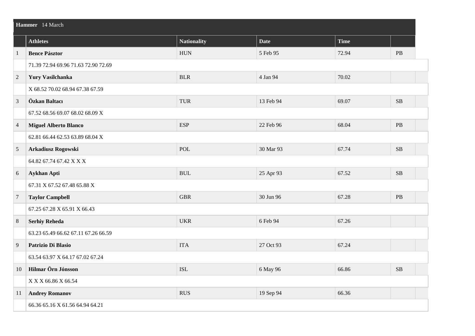|                | Hammer 14 March                     |                                  |             |             |           |  |  |  |
|----------------|-------------------------------------|----------------------------------|-------------|-------------|-----------|--|--|--|
|                | <b>Athletes</b>                     | <b>Nationality</b>               | <b>Date</b> | <b>Time</b> |           |  |  |  |
| $\mathbf{1}$   | <b>Bence Pásztor</b>                | <b>HUN</b>                       | 5 Feb 95    | 72.94       | PB        |  |  |  |
|                | 71.39 72.94 69.96 71.63 72.90 72.69 |                                  |             |             |           |  |  |  |
| $\overline{2}$ | Yury Vasilchanka                    | <b>BLR</b>                       | 4 Jan 94    | 70.02       |           |  |  |  |
|                | X 68.52 70.02 68.94 67.38 67.59     |                                  |             |             |           |  |  |  |
| 3              | Özkan Baltacı                       | <b>TUR</b>                       | 13 Feb 94   | 69.07       | $\rm SB$  |  |  |  |
|                | 67.52 68.56 69.07 68.02 68.09 X     |                                  |             |             |           |  |  |  |
| $\overline{4}$ | <b>Miguel Alberto Blanco</b>        | <b>ESP</b>                       | 22 Feb 96   | 68.04       | $\rm{PB}$ |  |  |  |
|                | 62.81 66.44 62.53 63.89 68.04 X     |                                  |             |             |           |  |  |  |
| $\overline{5}$ | Arkadiusz Rogowski                  | <b>POL</b>                       | 30 Mar 93   | 67.74       | SB        |  |  |  |
|                | 64.82 67.74 67.42 X X X             |                                  |             |             |           |  |  |  |
| $6\,$          | <b>Aykhan Apti</b>                  | $\mathbf{B}\mathbf{U}\mathbf{L}$ | 25 Apr 93   | 67.52       | SB        |  |  |  |
|                | 67.31 X 67.52 67.48 65.88 X         |                                  |             |             |           |  |  |  |
| $\overline{7}$ | <b>Taylor Campbell</b>              | <b>GBR</b>                       | 30 Jun 96   | 67.28       | $\rm{PB}$ |  |  |  |
|                | 67.25 67.28 X 65.91 X 66.43         |                                  |             |             |           |  |  |  |
| $8\phantom{1}$ | <b>Serhiy Reheda</b>                | <b>UKR</b>                       | 6 Feb 94    | 67.26       |           |  |  |  |
|                | 63.23 65.49 66.62 67.11 67.26 66.59 |                                  |             |             |           |  |  |  |
| 9              | Patrizio Di Blasio                  | <b>ITA</b>                       | 27 Oct 93   | 67.24       |           |  |  |  |
|                | 63.54 63.97 X 64.17 67.02 67.24     |                                  |             |             |           |  |  |  |
| 10             | Hilmar Örn Jónsson                  | <b>ISL</b>                       | 6 May 96    | 66.86       | SB        |  |  |  |
|                | X X X 66.86 X 66.54                 |                                  |             |             |           |  |  |  |
| 11             | <b>Andrey Romanov</b>               | <b>RUS</b>                       | 19 Sep 94   | 66.36       |           |  |  |  |
|                | 66.36 65.16 X 61.56 64.94 64.21     |                                  |             |             |           |  |  |  |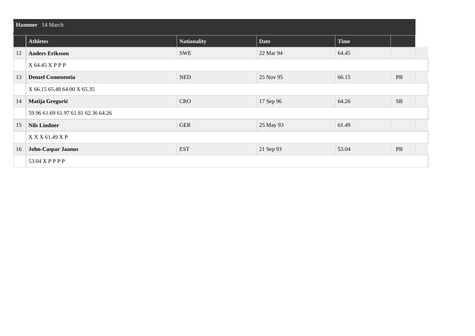| Hammer 14 March |                                     |                    |             |             |           |  |  |
|-----------------|-------------------------------------|--------------------|-------------|-------------|-----------|--|--|
|                 | <b>Athletes</b>                     | <b>Nationality</b> | <b>Date</b> | <b>Time</b> |           |  |  |
| 12              | <b>Anders Eriksson</b>              | <b>SWE</b>         | 22 Mar 94   | 64.45       |           |  |  |
|                 | X 64.45 X P P P                     |                    |             |             |           |  |  |
| 13              | <b>Denzel Comenentia</b>            | <b>NED</b>         | 25 Nov 95   | 66.15       | $\rm{PB}$ |  |  |
|                 | X 66.15 65.48 64.00 X 65.35         |                    |             |             |           |  |  |
| 14              | Matija Gregurić                     | <b>CRO</b>         | 17 Sep 96   | 64.26       | SB        |  |  |
|                 | 59.96 61.69 61.97 61.81 62.36 64.26 |                    |             |             |           |  |  |
| 15              | <b>Nils Lindner</b>                 | <b>GER</b>         | 25 May 93   | 61.49       |           |  |  |
|                 | $X$ X X 61.49 X P                   |                    |             |             |           |  |  |
| 16              | <b>John-Caspar Jaanus</b>           | <b>EST</b>         | 21 Sep 93   | 53.04       | <b>PB</b> |  |  |
|                 | 53.04 X P P P P                     |                    |             |             |           |  |  |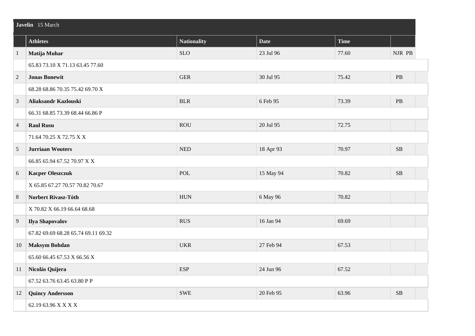|                | Javelin 15 March                    |                             |             |             |            |  |  |
|----------------|-------------------------------------|-----------------------------|-------------|-------------|------------|--|--|
|                | <b>Athletes</b>                     | <b>Nationality</b>          | <b>Date</b> | <b>Time</b> |            |  |  |
| $\mathbf{1}$   | Matija Muhar                        | <b>SLO</b>                  | 23 Jul 96   | 77.60       | NJR PB     |  |  |
|                | 65.83 73.10 X 71.13 63.45 77.60     |                             |             |             |            |  |  |
| $\sqrt{2}$     | <b>Jonas Bonewit</b>                | <b>GER</b>                  | 30 Jul 95   | 75.42       | $\rm{PB}$  |  |  |
|                | 68.28 68.86 70.35 75.42 69.70 X     |                             |             |             |            |  |  |
| $\mathfrak{Z}$ | Aliaksandr Kazlouski                | <b>BLR</b>                  | 6 Feb 95    | 73.39       | $\rm{PB}$  |  |  |
|                | 66.31 68.85 73.39 68.44 66.86 P     |                             |             |             |            |  |  |
| $\overline{4}$ | <b>Raul Rusu</b>                    | <b>ROU</b>                  | 20 Jul 95   | 72.75       |            |  |  |
|                | 71.64 70.25 X 72.75 X X             |                             |             |             |            |  |  |
| $\overline{5}$ | <b>Jurriaan Wouters</b>             | $\ensuremath{\mathsf{NED}}$ | 18 Apr 93   | 70.97       | SB         |  |  |
|                | 66.85 65.94 67.52 70.97 X X         |                             |             |             |            |  |  |
| 6              | <b>Kacper Oleszczuk</b>             | POL                         | 15 May 94   | 70.82       | SB         |  |  |
|                | X 65.85 67.27 70.57 70.82 70.67     |                             |             |             |            |  |  |
| $\,8\,$        | Norbert Rivasz-Tóth                 | <b>HUN</b>                  | 6 May 96    | 70.82       |            |  |  |
|                | X 70.82 X 66.19 66.64 68.68         |                             |             |             |            |  |  |
| $\overline{9}$ | Ilya Shapovalov                     | <b>RUS</b>                  | 16 Jan 94   | 69.69       |            |  |  |
|                | 67.82 69.69 68.28 65.74 69.11 69.32 |                             |             |             |            |  |  |
| 10             | <b>Maksym Bohdan</b>                | <b>UKR</b>                  | 27 Feb 94   | 67.53       |            |  |  |
|                | 65.60 66.45 67.53 X 66.56 X         |                             |             |             |            |  |  |
| 11             | Nicolás Quijera                     | <b>ESP</b>                  | 24 Jun 96   | 67.52       |            |  |  |
|                | 67.52 63.76 63.45 63.80 P P         |                             |             |             |            |  |  |
| 12             | <b>Quincy Andersson</b>             | <b>SWE</b>                  | 20 Feb 95   | 63.96       | ${\bf SB}$ |  |  |
|                | 62.19 63.96 X X X X                 |                             |             |             |            |  |  |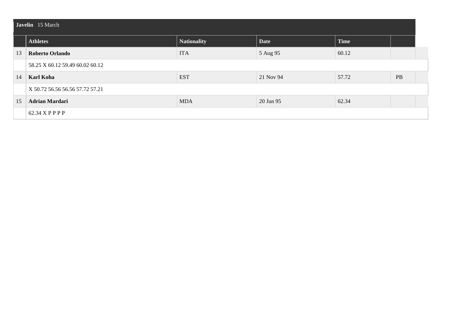|    | Javelin 15 March                |             |             |             |    |  |  |
|----|---------------------------------|-------------|-------------|-------------|----|--|--|
|    | <b>Athletes</b>                 | Nationality | <b>Date</b> | <b>Time</b> |    |  |  |
| 13 | <b>Roberto Orlando</b>          | <b>ITA</b>  | 5 Aug 95    | 60.12       |    |  |  |
|    | 58.25 X 60.12 59.49 60.02 60.12 |             |             |             |    |  |  |
| 14 | Karl Koha                       | <b>EST</b>  | 21 Nov 94   | 57.72       | PB |  |  |
|    | X 50.72 56.56 56.56 57.72 57.21 |             |             |             |    |  |  |
| 15 | <b>Adrian Mardari</b>           | <b>MDA</b>  | 20 Jun 95   | 62.34       |    |  |  |
|    | 62.34 X P P P P                 |             |             |             |    |  |  |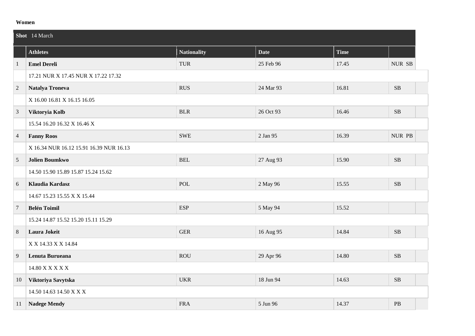#### **Women**

|                 | Shot 14 March                           |                    |             |       |           |  |
|-----------------|-----------------------------------------|--------------------|-------------|-------|-----------|--|
|                 | <b>Athletes</b>                         | <b>Nationality</b> | <b>Date</b> | Time  |           |  |
| 1               | <b>Emel Dereli</b>                      | <b>TUR</b>         | 25 Feb 96   | 17.45 | NUR SB    |  |
|                 | 17.21 NUR X 17.45 NUR X 17.22 17.32     |                    |             |       |           |  |
| 2               | <b>Natalya Troneva</b>                  | <b>RUS</b>         | 24 Mar 93   | 16.81 | $\rm SB$  |  |
|                 | X 16.00 16.81 X 16.15 16.05             |                    |             |       |           |  |
| $\overline{3}$  | Viktoryia Kolb                          | <b>BLR</b>         | 26 Oct 93   | 16.46 | $\rm SB$  |  |
|                 | 15.54 16.20 16.32 X 16.46 X             |                    |             |       |           |  |
| $\overline{4}$  | <b>Fanny Roos</b>                       | <b>SWE</b>         | 2 Jan 95    | 16.39 | NUR PB    |  |
|                 | X 16.34 NUR 16.12 15.91 16.39 NUR 16.13 |                    |             |       |           |  |
| 5               | <b>Jolien Boumkwo</b>                   | <b>BEL</b>         | 27 Aug 93   | 15.90 | $\rm SB$  |  |
|                 | 14.50 15.90 15.89 15.87 15.24 15.62     |                    |             |       |           |  |
| 6               | <b>Klaudia Kardasz</b>                  | <b>POL</b>         | 2 May 96    | 15.55 | $\rm SB$  |  |
|                 | 14.67 15.23 15.55 X X 15.44             |                    |             |       |           |  |
| $\overline{7}$  | <b>Belén Toimil</b>                     | <b>ESP</b>         | 5 May 94    | 15.52 |           |  |
|                 | 15.24 14.87 15.52 15.20 15.11 15.29     |                    |             |       |           |  |
| $8\phantom{.0}$ | Laura Jokeit                            | <b>GER</b>         | 16 Aug 95   | 14.84 | $\rm SB$  |  |
|                 | X X 14.33 X X 14.84                     |                    |             |       |           |  |
| 9               | Lenuta Burueana                         | <b>ROU</b>         | 29 Apr 96   | 14.80 | SB        |  |
|                 | 14.80 X X X X X                         |                    |             |       |           |  |
| 10              | Viktoriya Savytska                      | <b>UKR</b>         | 18 Jun 94   | 14.63 | $\rm SB$  |  |
|                 | 14.50 14.63 14.50 X X X                 |                    |             |       |           |  |
| 11              | <b>Nadege Mendy</b>                     | <b>FRA</b>         | 5 Jun 96    | 14.37 | $\rm{PB}$ |  |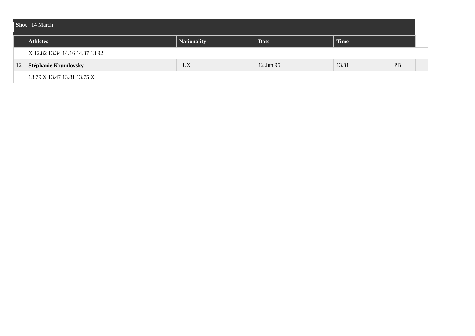|    | Shot 14 March                   |                    |             |             |    |  |  |
|----|---------------------------------|--------------------|-------------|-------------|----|--|--|
|    | <b>Athletes</b>                 | <b>Nationality</b> | <b>Date</b> | <b>Time</b> |    |  |  |
|    | X 12.82 13.34 14.16 14.37 13.92 |                    |             |             |    |  |  |
| 12 | Stéphanie Krumlovsky            | <b>LUX</b>         | 12 Jun 95   | 13.81       | PB |  |  |
|    | 13.79 X 13.47 13.81 13.75 X     |                    |             |             |    |  |  |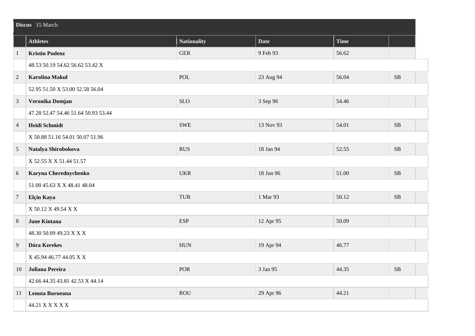|                | Discus 15 March                     |                    |             |             |          |  |
|----------------|-------------------------------------|--------------------|-------------|-------------|----------|--|
|                | <b>Athletes</b>                     | <b>Nationality</b> | <b>Date</b> | <b>Time</b> |          |  |
| $\overline{1}$ | <b>Kristin Pudenz</b>               | <b>GER</b>         | 9 Feb 93    | 56.62       |          |  |
|                | 48.53 50.19 54.62 56.62 53.42 X     |                    |             |             |          |  |
| $\overline{2}$ | <b>Karolina Makul</b>               | POL                | 23 Aug 94   | 56.04       | SB       |  |
|                | 52.95 51.50 X 53.00 52.58 56.04     |                    |             |             |          |  |
| 3              | Veronika Domjan                     | <b>SLO</b>         | 3 Sep 96    | 54.46       |          |  |
|                | 47.28 52.47 54.46 51.64 50.93 53.44 |                    |             |             |          |  |
| $\overline{4}$ | Heidi Schmidt                       | <b>SWE</b>         | 13 Nov 93   | 54.01       | SB       |  |
|                | X 50.88 51.16 54.01 50.07 51.96     |                    |             |             |          |  |
| 5              | Natalya Shirobokova                 | <b>RUS</b>         | 18 Jan 94   | 52.55       | $\rm SB$ |  |
|                | X 52.55 X X 51.44 51.57             |                    |             |             |          |  |
| $6\,$          | Karyna Cherednychenko               | <b>UKR</b>         | 18 Jun 96   | 51.00       | $\rm SB$ |  |
|                | 51.00 45.63 X X 48.41 48.04         |                    |             |             |          |  |
| $\overline{7}$ | Elçin Kaya                          | <b>TUR</b>         | 1 Mar 93    | 50.12       | SB       |  |
|                | X 50.12 X 49.54 X X                 |                    |             |             |          |  |
| $\,8\,$        | <b>June Kintana</b>                 | <b>ESP</b>         | 12 Apr 95   | 50.09       |          |  |
|                | 48.30 50.09 49.23 X X X             |                    |             |             |          |  |
| 9              | Dóra Kerekes                        | <b>HUN</b>         | 19 Apr 94   | 46.77       |          |  |
|                | X 45.94 46.77 44.05 X X             |                    |             |             |          |  |
| 10             | Juliana Pereira                     | POR                | 3 Jan 95    | 44.35       | SB       |  |
|                | 42.66 44.35 43.81 42.53 X 44.14     |                    |             |             |          |  |
| 11             | Lenuta Burueana                     | <b>ROU</b>         | 29 Apr 96   | 44.21       |          |  |
|                | 44.21 X X X X X                     |                    |             |             |          |  |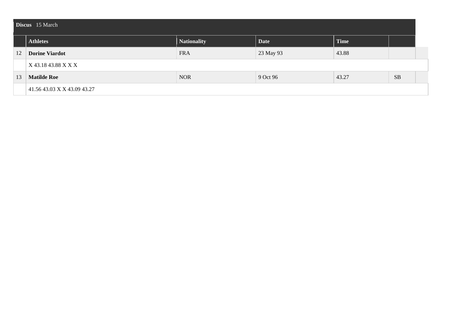|    | Discus 15 March             |             |             |             |           |  |  |
|----|-----------------------------|-------------|-------------|-------------|-----------|--|--|
|    | <b>Athletes</b>             | Nationality | <b>Date</b> | <b>Time</b> |           |  |  |
| 12 | <b>Dorine Viardot</b>       | <b>FRA</b>  | 23 May 93   | 43.88       |           |  |  |
|    | X 43.18 43.88 X X X         |             |             |             |           |  |  |
| 13 | <b>Matilde Roe</b>          | <b>NOR</b>  | 9 Oct 96    | 43.27       | <b>SB</b> |  |  |
|    | 41.56 43.03 X X 43.09 43.27 |             |             |             |           |  |  |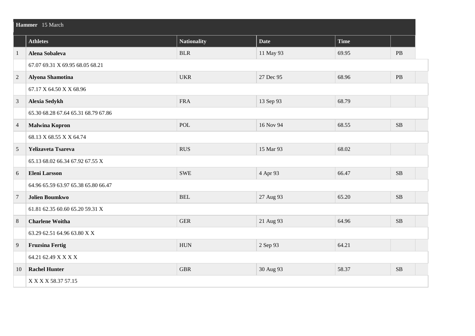|                | Hammer 15 March                     |                    |             |       |           |  |  |
|----------------|-------------------------------------|--------------------|-------------|-------|-----------|--|--|
|                | <b>Athletes</b>                     | <b>Nationality</b> | <b>Date</b> | Time  |           |  |  |
| $\mathbf{1}$   | Alena Sobaleva                      | <b>BLR</b>         | 11 May 93   | 69.95 | PB        |  |  |
|                | 67.07 69.31 X 69.95 68.05 68.21     |                    |             |       |           |  |  |
| $\overline{2}$ | <b>Alyona Shamotina</b>             | <b>UKR</b>         | 27 Dec 95   | 68.96 | $\rm{PB}$ |  |  |
|                | 67.17 X 64.50 X X 68.96             |                    |             |       |           |  |  |
| 3              | Alexia Sedykh                       | <b>FRA</b>         | 13 Sep 93   | 68.79 |           |  |  |
|                | 65.30 68.28 67.64 65.31 68.79 67.86 |                    |             |       |           |  |  |
| $\overline{4}$ | <b>Malwina Kopron</b>               | <b>POL</b>         | 16 Nov 94   | 68.55 | SB        |  |  |
|                | 68.13 X 68.55 X X 64.74             |                    |             |       |           |  |  |
| 5              | Yelizaveta Tsareva                  | <b>RUS</b>         | 15 Mar 93   | 68.02 |           |  |  |
|                | 65.13 68.02 66.34 67.92 67.55 X     |                    |             |       |           |  |  |
| 6              | <b>Eleni Larsson</b>                | <b>SWE</b>         | 4 Apr 93    | 66.47 | SB        |  |  |
|                | 64.96 65.59 63.97 65.38 65.80 66.47 |                    |             |       |           |  |  |
| $\overline{7}$ | <b>Jolien Boumkwo</b>               | <b>BEL</b>         | 27 Aug 93   | 65.20 | SB        |  |  |
|                | 61.81 62.35 60.60 65.20 59.31 X     |                    |             |       |           |  |  |
| 8              | <b>Charlene Woitha</b>              | <b>GER</b>         | 21 Aug 93   | 64.96 | SB        |  |  |
|                | 63.29 62.51 64.96 63.80 X X         |                    |             |       |           |  |  |
| 9              | <b>Fruzsina Fertig</b>              | <b>HUN</b>         | 2 Sep 93    | 64.21 |           |  |  |
|                | 64.21 62.49 X X X X                 |                    |             |       |           |  |  |
| 10             | <b>Rachel Hunter</b>                | <b>GBR</b>         | 30 Aug 93   | 58.37 | $\rm SB$  |  |  |
|                | X X X X 58.37 57.15                 |                    |             |       |           |  |  |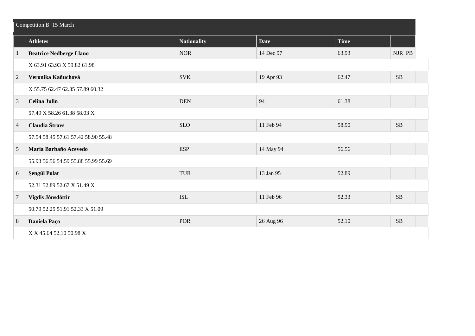|                | Competition B 15 March              |                    |             |             |           |  |  |
|----------------|-------------------------------------|--------------------|-------------|-------------|-----------|--|--|
|                | <b>Athletes</b>                     | <b>Nationality</b> | <b>Date</b> | <b>Time</b> |           |  |  |
| $\mathbf{1}$   | <b>Beatrice Nedberge Llano</b>      | <b>NOR</b>         | 14 Dec 97   | 63.93       | NJR PB    |  |  |
|                | X 63.91 63.93 X 59.82 61.98         |                    |             |             |           |  |  |
| $\overline{2}$ | Veronika Kaňuchová                  | <b>SVK</b>         | 19 Apr 93   | 62.47       | $\rm SB$  |  |  |
|                | X 55.75 62.47 62.35 57.89 60.32     |                    |             |             |           |  |  |
| $\overline{3}$ | <b>Celina Julin</b>                 | <b>DEN</b>         | 94          | 61.38       |           |  |  |
|                | 57.49 X 58.26 61.38 58.03 X         |                    |             |             |           |  |  |
| $\overline{4}$ | Claudia Štravs                      | <b>SLO</b>         | 11 Feb 94   | 58.90       | <b>SB</b> |  |  |
|                | 57.54 58.45 57.61 57.42 58.90 55.48 |                    |             |             |           |  |  |
| 5              | Maria Barbaño Acevedo               | <b>ESP</b>         | 14 May 94   | 56.56       |           |  |  |
|                | 55.93 56.56 54.59 55.88 55.99 55.69 |                    |             |             |           |  |  |
| 6              | <b>Şengül Polat</b>                 | <b>TUR</b>         | 13 Jan 95   | 52.89       |           |  |  |
|                | 52.31 52.89 52.67 X 51.49 X         |                    |             |             |           |  |  |
| $\overline{7}$ | Vigdis Jónsdóttir                   | <b>ISL</b>         | 11 Feb 96   | 52.33       | SB        |  |  |
|                | 50.79 52.25 51.91 52.33 X 51.09     |                    |             |             |           |  |  |
| 8              | Daniela Paço                        | <b>POR</b>         | 26 Aug 96   | 52.10       | SB        |  |  |
|                | X X 45.64 52.10 50.98 X             |                    |             |             |           |  |  |